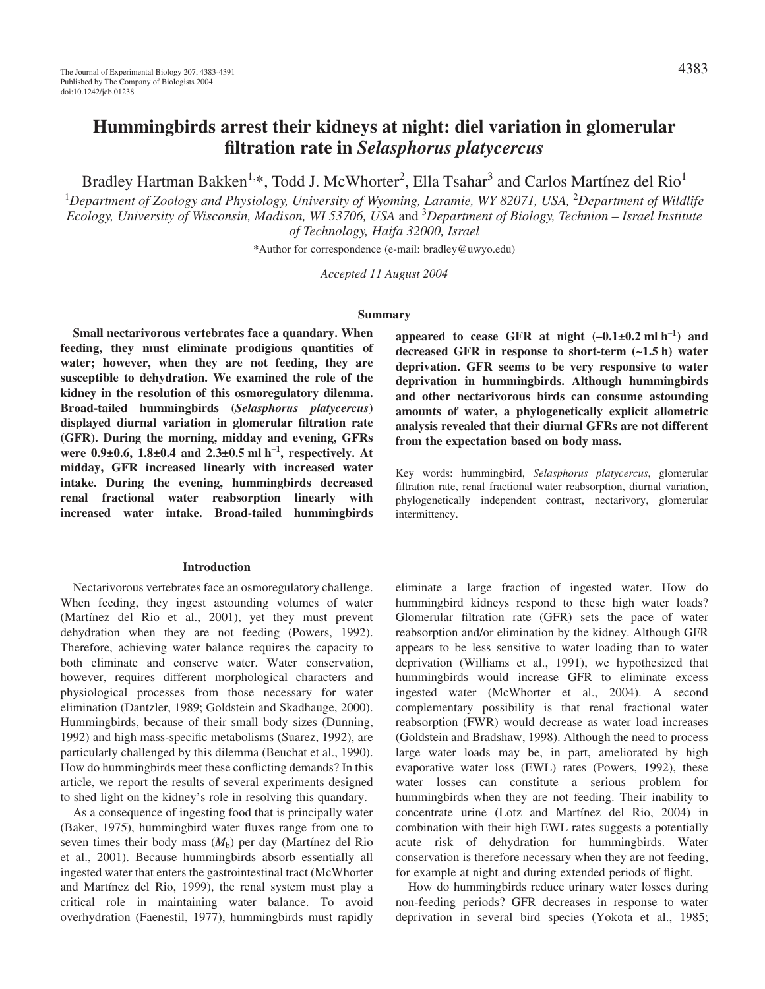# **Hummingbirds arrest their kidneys at night: diel variation in glomerular filtration rate in** *Selasphorus platycercus*

Bradley Hartman Bakken<sup>1,\*</sup>, Todd J. McWhorter<sup>2</sup>, Ella Tsahar<sup>3</sup> and Carlos Martínez del Rio<sup>1</sup>

1 *Department of Zoology and Physiology, University of Wyoming, Laramie, WY 82071, USA,* <sup>2</sup> *Department of Wildlife Ecology, University of Wisconsin, Madison, WI 53706, USA* and 3 *Department of Biology, Technion – Israel Institute of Technology, Haifa 32000, Israel*

\*Author for correspondence (e-mail: bradley@uwyo.edu)

*Accepted 11 August 2004*

#### **Summary**

**Small nectarivorous vertebrates face a quandary. When feeding, they must eliminate prodigious quantities of water; however, when they are not feeding, they are susceptible to dehydration. We examined the role of the kidney in the resolution of this osmoregulatory dilemma. Broad-tailed hummingbirds (***Selasphorus platycercus***) displayed diurnal variation in glomerular filtration rate (GFR). During the morning, midday and evening, GFRs** were  $0.9\pm0.6$ ,  $1.8\pm0.4$  and  $2.3\pm0.5$  ml h<sup>-1</sup>, respectively. At **midday, GFR increased linearly with increased water intake. During the evening, hummingbirds decreased renal fractional water reabsorption linearly with increased water intake. Broad-tailed hummingbirds**

#### **Introduction**

Nectarivorous vertebrates face an osmoregulatory challenge. When feeding, they ingest astounding volumes of water (Martínez del Rio et al., 2001), yet they must prevent dehydration when they are not feeding (Powers, 1992). Therefore, achieving water balance requires the capacity to both eliminate and conserve water. Water conservation, however, requires different morphological characters and physiological processes from those necessary for water elimination (Dantzler, 1989; Goldstein and Skadhauge, 2000). Hummingbirds, because of their small body sizes (Dunning, 1992) and high mass-specific metabolisms (Suarez, 1992), are particularly challenged by this dilemma (Beuchat et al., 1990). How do hummingbirds meet these conflicting demands? In this article, we report the results of several experiments designed to shed light on the kidney's role in resolving this quandary.

As a consequence of ingesting food that is principally water (Baker, 1975), hummingbird water fluxes range from one to seven times their body mass (*M*b) per day (Martínez del Rio et al., 2001). Because hummingbirds absorb essentially all ingested water that enters the gastrointestinal tract (McWhorter and Martínez del Rio, 1999), the renal system must play a critical role in maintaining water balance. To avoid overhydration (Faenestil, 1977), hummingbirds must rapidly

appeared to cease GFR at night  $(-0.1\pm0.2 \text{ ml h}^{-1})$  and **decreased GFR in response to short-term (~1.5·h) water deprivation. GFR seems to be very responsive to water deprivation in hummingbirds. Although hummingbirds and other nectarivorous birds can consume astounding amounts of water, a phylogenetically explicit allometric analysis revealed that their diurnal GFRs are not different from the expectation based on body mass.**

Key words: hummingbird, *Selasphorus platycercus*, glomerular filtration rate, renal fractional water reabsorption, diurnal variation, phylogenetically independent contrast, nectarivory, glomerular intermittency.

eliminate a large fraction of ingested water. How do hummingbird kidneys respond to these high water loads? Glomerular filtration rate (GFR) sets the pace of water reabsorption and/or elimination by the kidney. Although GFR appears to be less sensitive to water loading than to water deprivation (Williams et al., 1991), we hypothesized that hummingbirds would increase GFR to eliminate excess ingested water (McWhorter et al., 2004). A second complementary possibility is that renal fractional water reabsorption (FWR) would decrease as water load increases (Goldstein and Bradshaw, 1998). Although the need to process large water loads may be, in part, ameliorated by high evaporative water loss (EWL) rates (Powers, 1992), these water losses can constitute a serious problem for hummingbirds when they are not feeding. Their inability to concentrate urine (Lotz and Martínez del Rio, 2004) in combination with their high EWL rates suggests a potentially acute risk of dehydration for hummingbirds. Water conservation is therefore necessary when they are not feeding, for example at night and during extended periods of flight.

How do hummingbirds reduce urinary water losses during non-feeding periods? GFR decreases in response to water deprivation in several bird species (Yokota et al., 1985;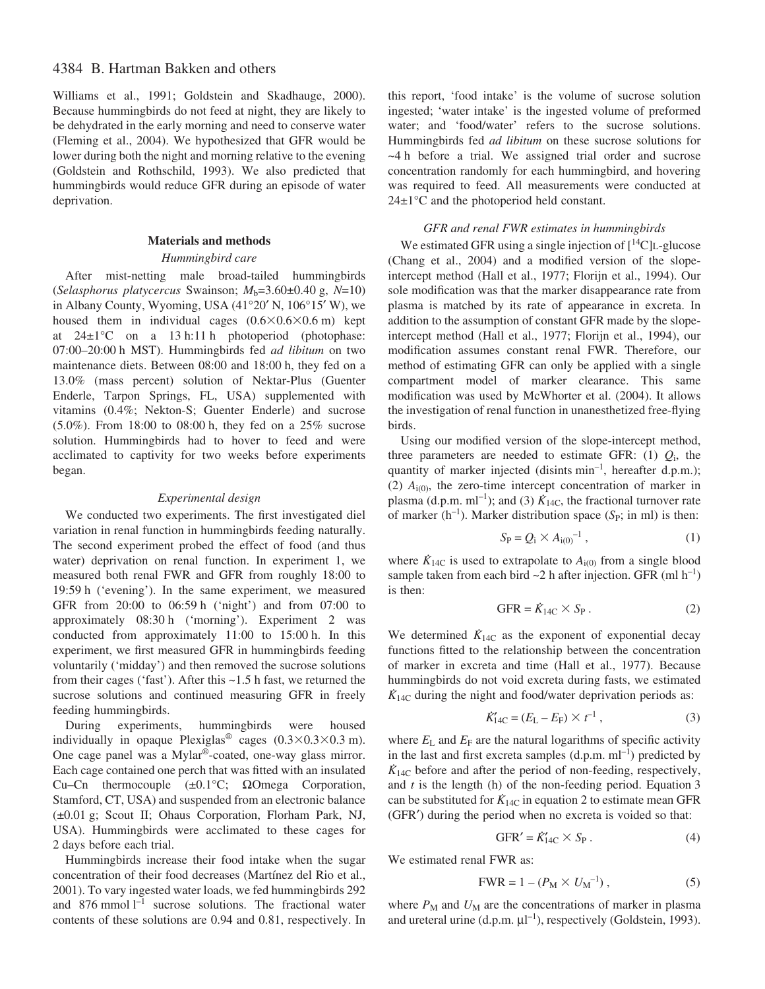# 4384 B. Hartman Bakken and others

Williams et al., 1991; Goldstein and Skadhauge, 2000). Because hummingbirds do not feed at night, they are likely to be dehydrated in the early morning and need to conserve water (Fleming et al., 2004). We hypothesized that GFR would be lower during both the night and morning relative to the evening (Goldstein and Rothschild, 1993). We also predicted that hummingbirds would reduce GFR during an episode of water deprivation.

#### **Materials and methods**

#### *Hummingbird care*

After mist-netting male broad-tailed hummingbirds (*Selasphorus platycercus* Swainson;  $M_b=3.60\pm0.40$  g,  $N=10$ ) in Albany County, Wyoming, USA (41°20′ N, 106°15′ W), we housed them in individual cages  $(0.6 \times 0.6 \times 0.6 \text{ m})$  kept at  $24\pm1$ °C on a 13 h:11 h photoperiod (photophase: 07:00–20:00·h MST). Hummingbirds fed *ad libitum* on two maintenance diets. Between 08:00 and 18:00 h, they fed on a 13.0% (mass percent) solution of Nektar-Plus (Guenter Enderle, Tarpon Springs, FL, USA) supplemented with vitamins (0.4%; Nekton-S; Guenter Enderle) and sucrose (5.0%). From 18:00 to 08:00 h, they fed on a  $25\%$  sucrose solution. Hummingbirds had to hover to feed and were acclimated to captivity for two weeks before experiments began.

## *Experimental design*

We conducted two experiments. The first investigated diel variation in renal function in hummingbirds feeding naturally. The second experiment probed the effect of food (and thus water) deprivation on renal function. In experiment 1, we measured both renal FWR and GFR from roughly 18:00 to 19:59 h ('evening'). In the same experiment, we measured GFR from  $20:00$  to  $06:59h$  ('night') and from  $07:00$  to approximately 08:30 h ('morning'). Experiment 2 was conducted from approximately  $11:00$  to  $15:00$  h. In this experiment, we first measured GFR in hummingbirds feeding voluntarily ('midday') and then removed the sucrose solutions from their cages ('fast'). After this  $\sim$ 1.5 h fast, we returned the sucrose solutions and continued measuring GFR in freely feeding hummingbirds.

During experiments, hummingbirds were housed individually in opaque Plexiglas<sup>®</sup> cages  $(0.3 \times 0.3 \times 0.3 \text{ m})$ . One cage panel was a Mylar®-coated, one-way glass mirror. Each cage contained one perch that was fitted with an insulated Cu–Cn thermocouple (±0.1°C; ΩOmega Corporation, Stamford, CT, USA) and suspended from an electronic balance (±0.01 g; Scout II; Ohaus Corporation, Florham Park, NJ, USA). Hummingbirds were acclimated to these cages for 2 days before each trial.

Hummingbirds increase their food intake when the sugar concentration of their food decreases (Martínez del Rio et al., 2001). To vary ingested water loads, we fed hummingbirds 292 and 876 mmol  $l^{-1}$  sucrose solutions. The fractional water contents of these solutions are 0.94 and 0.81, respectively. In

this report, 'food intake' is the volume of sucrose solution ingested; 'water intake' is the ingested volume of preformed water; and 'food/water' refers to the sucrose solutions. Hummingbirds fed *ad libitum* on these sucrose solutions for ~4·h before a trial. We assigned trial order and sucrose concentration randomly for each hummingbird, and hovering was required to feed. All measurements were conducted at  $24\pm1\degree C$  and the photoperiod held constant.

## *GFR and renal FWR estimates in hummingbirds*

We estimated GFR using a single injection of  $[^{14}C]$ L-glucose (Chang et al., 2004) and a modified version of the slopeintercept method (Hall et al., 1977; Florijn et al., 1994). Our sole modification was that the marker disappearance rate from plasma is matched by its rate of appearance in excreta. In addition to the assumption of constant GFR made by the slopeintercept method (Hall et al., 1977; Florijn et al., 1994), our modification assumes constant renal FWR. Therefore, our method of estimating GFR can only be applied with a single compartment model of marker clearance. This same modification was used by McWhorter et al. (2004). It allows the investigation of renal function in unanesthetized free-flying birds.

Using our modified version of the slope-intercept method, three parameters are needed to estimate GFR:  $(1)$   $Q_i$ , the quantity of marker injected (disints  $min^{-1}$ , hereafter d.p.m.); (2)  $A_{i(0)}$ , the zero-time intercept concentration of marker in plasma (d.p.m.  $ml^{-1}$ ); and (3)  $\dot{K}_{14C}$ , the fractional turnover rate of marker ( $h^{-1}$ ). Marker distribution space ( $S_P$ ; in ml) is then:

$$
S_{\rm P} = Q_{\rm i} \times A_{\rm i(0)}^{-1} \,, \tag{1}
$$

where  $K_{14C}$  is used to extrapolate to  $A_{i(0)}$  from a single blood sample taken from each bird  $\sim$ 2 h after injection. GFR (ml h<sup>-1</sup>) is then:

$$
GFR = \dot{K}_{14C} \times S_P \,. \tag{2}
$$

We determined  $K_{14C}$  as the exponent of exponential decay functions fitted to the relationship between the concentration of marker in excreta and time (Hall et al., 1977). Because hummingbirds do not void excreta during fasts, we estimated  $K_{14C}$  during the night and food/water deprivation periods as:

$$
\dot{K}_{14C} = (E_{L} - E_{F}) \times t^{-1}, \qquad (3)
$$

where  $E_L$  and  $E_F$  are the natural logarithms of specific activity in the last and first excreta samples  $(d.p.m.m^{-1})$  predicted by  $K_{14C}$  before and after the period of non-feeding, respectively, and  $t$  is the length (h) of the non-feeding period. Equation  $3$ can be substituted for  $K_{14C}$  in equation 2 to estimate mean GFR (GFR′) during the period when no excreta is voided so that:

$$
GFR' = \dot{K}_{14C}' \times S_P \,. \tag{4}
$$

We estimated renal FWR as:

$$
FWR = 1 - (P_M \times U_M^{-1}), \qquad (5)
$$

where  $P_M$  and  $U_M$  are the concentrations of marker in plasma and ureteral urine (d.p.m.  $\mu$ l<sup>-1</sup>), respectively (Goldstein, 1993).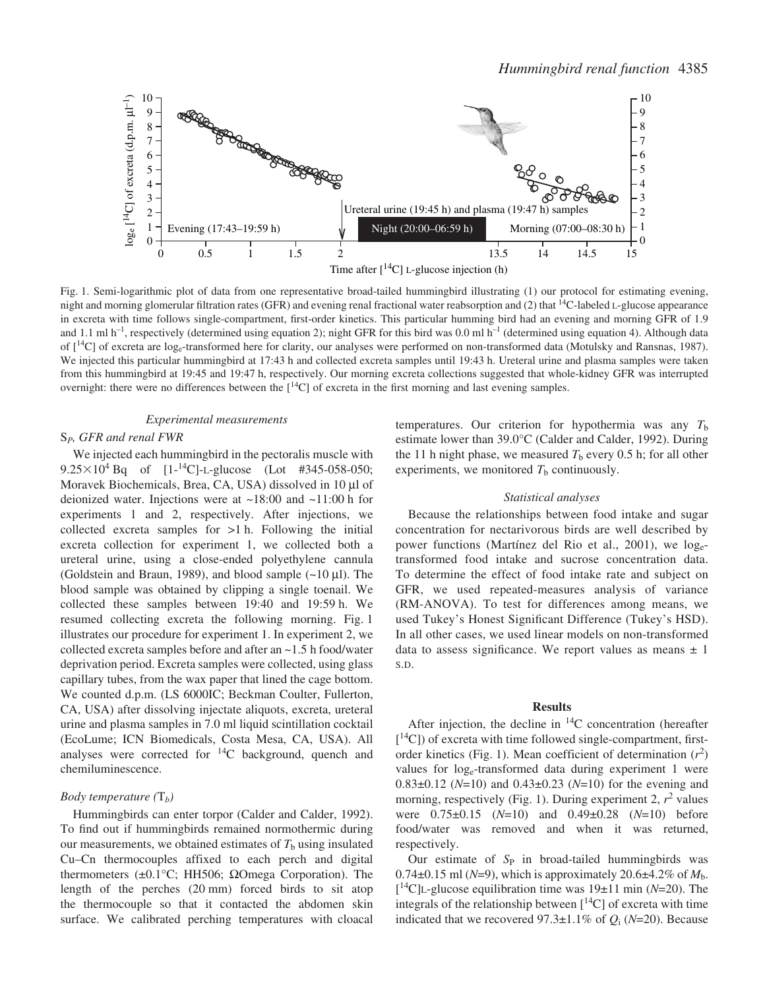

Fig. 1. Semi-logarithmic plot of data from one representative broad-tailed hummingbird illustrating (1) our protocol for estimating evening, night and morning glomerular filtration rates (GFR) and evening renal fractional water reabsorption and (2) that  $^{14}$ C-labeled L-glucose appearance in excreta with time follows single-compartment, first-order kinetics. This particular humming bird had an evening and morning GFR of 1.9 and 1.1 ml h<sup>-1</sup>, respectively (determined using equation 2); night GFR for this bird was 0.0 ml h<sup>-1</sup> (determined using equation 4). Although data of  $\lceil {^{14}C} \rceil$  of excreta are log<sub>e</sub>-transformed here for clarity, our analyses were performed on non-transformed data (Motulsky and Ransnas, 1987). We injected this particular hummingbird at 17:43 h and collected excreta samples until 19:43 h. Ureteral urine and plasma samples were taken from this hummingbird at 19:45 and 19:47 h, respectively. Our morning excreta collections suggested that whole-kidney GFR was interrupted overnight: there were no differences between the  $[14C]$  of excreta in the first morning and last evening samples.

## *Experimental measurements*

## S*P, GFR and renal FWR*

We injected each hummingbird in the pectoralis muscle with  $9.25 \times 10^4$  Bq of [1-<sup>14</sup>C]-L-glucose (Lot #345-058-050; Moravek Biochemicals, Brea, CA, USA) dissolved in 10 µl of deionized water. Injections were at  $\sim$ 18:00 and  $\sim$ 11:00 h for experiments 1 and 2, respectively. After injections, we collected excreta samples for  $>1$  h. Following the initial excreta collection for experiment 1, we collected both a ureteral urine, using a close-ended polyethylene cannula (Goldstein and Braun, 1989), and blood sample  $(-10 \mu l)$ . The blood sample was obtained by clipping a single toenail. We collected these samples between 19:40 and 19:59 h. We resumed collecting excreta the following morning. Fig. 1 illustrates our procedure for experiment 1. In experiment 2, we collected excreta samples before and after an  $\sim$ 1.5 h food/water deprivation period. Excreta samples were collected, using glass capillary tubes, from the wax paper that lined the cage bottom. We counted d.p.m. (LS 6000IC; Beckman Coulter, Fullerton, CA, USA) after dissolving injectate aliquots, excreta, ureteral urine and plasma samples in 7.0 ml liquid scintillation cocktail (EcoLume; ICN Biomedicals, Costa Mesa, CA, USA). All analyses were corrected for  $^{14}$ C background, quench and chemiluminescence.

#### *Body temperature (*T*b)*

Hummingbirds can enter torpor (Calder and Calder, 1992). To find out if hummingbirds remained normothermic during our measurements, we obtained estimates of  $T<sub>b</sub>$  using insulated Cu–Cn thermocouples affixed to each perch and digital thermometers ( $±0.1$ °C; HH506; ΩOmega Corporation). The length of the perches  $(20 \text{ mm})$  forced birds to sit atop the thermocouple so that it contacted the abdomen skin surface. We calibrated perching temperatures with cloacal

temperatures. Our criterion for hypothermia was any  $T<sub>b</sub>$ estimate lower than 39.0°C (Calder and Calder, 1992). During the 11 h night phase, we measured  $T<sub>b</sub>$  every 0.5 h; for all other experiments, we monitored  $T<sub>b</sub>$  continuously.

#### *Statistical analyses*

Because the relationships between food intake and sugar concentration for nectarivorous birds are well described by power functions (Martínez del Rio et al., 2001), we logetransformed food intake and sucrose concentration data. To determine the effect of food intake rate and subject on GFR, we used repeated-measures analysis of variance (RM-ANOVA). To test for differences among means, we used Tukey's Honest Significant Difference (Tukey's HSD). In all other cases, we used linear models on non-transformed data to assess significance. We report values as means  $\pm$  1 S.D.

## **Results**

After injection, the decline in  $^{14}$ C concentration (hereafter  $[$ <sup>14</sup>C]) of excreta with time followed single-compartment, firstorder kinetics (Fig. 1). Mean coefficient of determination  $(r^2)$ values for loge-transformed data during experiment 1 were 0.83±0.12 (*N*=10) and 0.43±0.23 (*N*=10) for the evening and morning, respectively (Fig. 1). During experiment 2,  $r^2$  values were 0.75±0.15 (*N*=10) and 0.49±0.28 (*N*=10) before food/water was removed and when it was returned, respectively.

Our estimate of S<sub>P</sub> in broad-tailed hummingbirds was 0.74 $\pm$ 0.15 ml (*N*=9), which is approximately 20.6 $\pm$ 4.2% of *M*<sub>b</sub>.  $[{}^{14}$ C]L-glucose equilibration time was 19 $\pm$ 11 min (*N*=20). The integrals of the relationship between  $[{}^{14}C]$  of excreta with time indicated that we recovered 97.3 $\pm$ 1.1% of  $Q_i$  (*N*=20). Because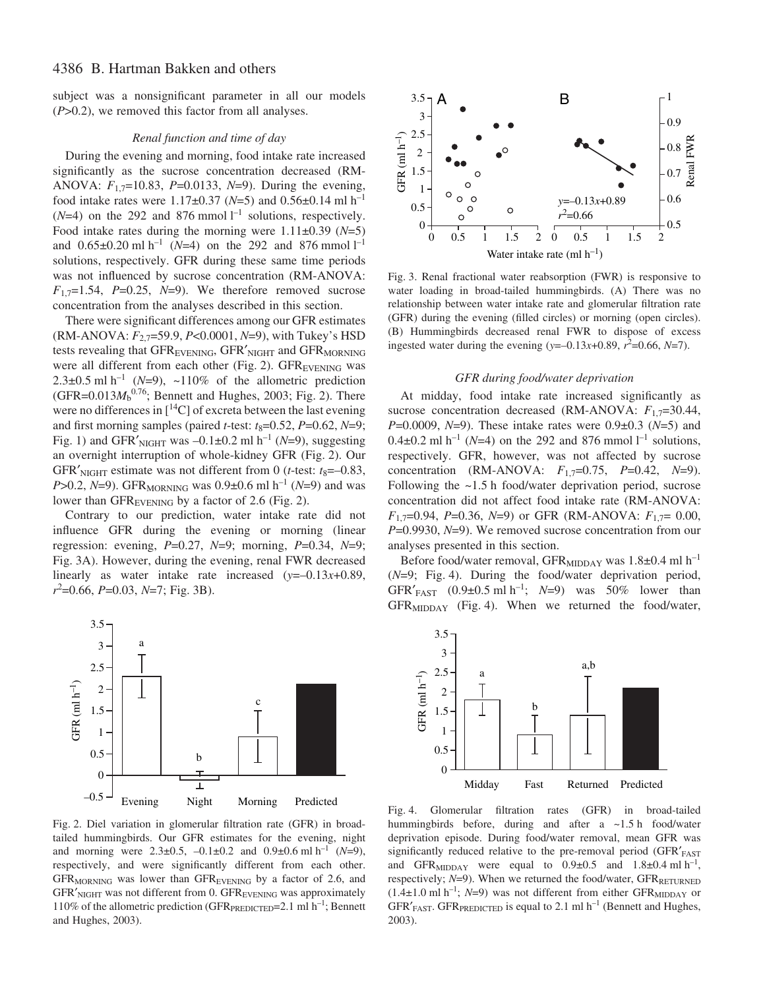subject was a nonsignificant parameter in all our models (*P*>0.2), we removed this factor from all analyses.

## *Renal function and time of day*

During the evening and morning, food intake rate increased significantly as the sucrose concentration decreased (RM-ANOVA: *F*1,7=10.83, *P*=0.0133, *N*=9). During the evening, food intake rates were  $1.17\pm0.37$  (*N*=5) and  $0.56\pm0.14$  ml h<sup>-1</sup>  $(N=4)$  on the 292 and 876 mmol<sup> $1^{-1}$ </sup> solutions, respectively. Food intake rates during the morning were 1.11±0.39 (*N*=5) and  $0.65\pm0.20$  ml h<sup>-1</sup> (*N*=4) on the 292 and 876 mmol l<sup>-1</sup> solutions, respectively. GFR during these same time periods was not influenced by sucrose concentration (RM-ANOVA:  $F_{1,7}=1.54$ ,  $P=0.25$ ,  $N=9$ ). We therefore removed sucrose concentration from the analyses described in this section.

There were significant differences among our GFR estimates (RM-ANOVA: *F*2,7=59.9, *P*<0.0001, *N*=9), with Tukey's HSD tests revealing that GFR<sub>EVENING</sub>, GFR'<sub>NIGHT</sub> and GFR<sub>MORNING</sub> were all different from each other (Fig. 2).  $GFR_{\text{EVENING}}$  was 2.3 $\pm$ 0.5 ml h<sup>-1</sup> (*N*=9), ~110% of the allometric prediction  $(GFR = 0.013 M<sub>b</sub><sup>0.76</sup>$ ; Bennett and Hughes, 2003; Fig. 2). There were no differences in  $[{}^{14}C]$  of excreta between the last evening and first morning samples (paired *t*-test:  $t_8=0.52$ , *P*=0.62, *N*=9; Fig. 1) and GFR'<sub>NIGHT</sub> was  $-0.1\pm0.2$  ml h<sup>-1</sup> (*N*=9), suggesting an overnight interruption of whole-kidney GFR (Fig. 2). Our GFR'<sub>NIGHT</sub> estimate was not different from 0 (*t*-test:  $t_8 = -0.83$ , *P*>0.2, *N*=9). GFR<sub>MORNING</sub> was 0.9±0.6 ml h<sup>-1</sup> (*N*=9) and was lower than  $GFR_{EVENING}$  by a factor of 2.6 (Fig. 2).

Contrary to our prediction, water intake rate did not influence GFR during the evening or morning (linear regression: evening, *P*=0.27, *N*=9; morning, *P*=0.34, *N*=9; Fig. 3A). However, during the evening, renal FWR decreased linearly as water intake rate increased (*y*=–0.13*x*+0.89, *r*<sup>2</sup>=0.66, *P*=0.03, *N*=7; Fig. 3B).



Fig. 2. Diel variation in glomerular filtration rate (GFR) in broadtailed hummingbirds. Our GFR estimates for the evening, night and morning were  $2.3\pm0.5$ ,  $-0.1\pm0.2$  and  $0.9\pm0.6$  ml h<sup>-1</sup> (*N*=9), respectively, and were significantly different from each other. GFR<sub>MORNING</sub> was lower than GFR<sub>EVENING</sub> by a factor of 2.6, and  $GFR'_{NIGHT}$  was not different from 0.  $GFR_{EVENING}$  was approximately 110% of the allometric prediction (GFR $_{\text{PREDICTED}}=2.1 \text{ ml h}^{-1}$ ; Bennett and Hughes, 2003).



Fig. 3. Renal fractional water reabsorption (FWR) is responsive to water loading in broad-tailed hummingbirds. (A) There was no relationship between water intake rate and glomerular filtration rate (GFR) during the evening (filled circles) or morning (open circles). (B) Hummingbirds decreased renal FWR to dispose of excess ingested water during the evening  $(y=-0.13x+0.89, r^2=0.66, N=7)$ .

#### *GFR during food/water deprivation*

At midday, food intake rate increased significantly as sucrose concentration decreased (RM-ANOVA:  $F_{1,7}=30.44$ , *P*=0.0009, *N*=9). These intake rates were 0.9±0.3 (*N*=5) and  $0.4\pm0.2$  ml h<sup>-1</sup> (*N*=4) on the 292 and 876 mmol l<sup>-1</sup> solutions, respectively. GFR, however, was not affected by sucrose concentration (RM-ANOVA: *F*1,7=0.75, *P*=0.42, *N*=9). Following the  $~1.5$  h food/water deprivation period, sucrose concentration did not affect food intake rate (RM-ANOVA: *F*1,7=0.94, *P*=0.36, *N*=9) or GFR (RM-ANOVA: *F*1,7= 0.00, *P*=0.9930, *N*=9). We removed sucrose concentration from our analyses presented in this section.

Before food/water removal,  $GFR_{\text{MIDDAY}}$  was 1.8 $\pm$ 0.4 ml h<sup>-1</sup> ( $N=9$ ; Fig. 4). During the food/water deprivation period, GFR'<sub>FAST</sub>  $(0.9\pm0.5 \text{ ml h}^{-1}; N=9)$  was 50% lower than  $GFR<sub>MDDAY</sub>$  (Fig. 4). When we returned the food/water,



Fig. 4. Glomerular filtration rates (GFR) in broad-tailed hummingbirds before, during and after a  $\sim$ 1.5 h food/water deprivation episode. During food/water removal, mean GFR was significantly reduced relative to the pre-removal period (GFR'FAST and GFR<sub>MIDDAY</sub> were equal to  $0.9\pm0.5$  and  $1.8\pm0.4$  ml h<sup>-1</sup>, respectively;  $N=9$ ). When we returned the food/water,  $GFR_{RETURNED}$  $(1.4\pm1.0 \text{ ml h}^{-1}; N=9)$  was not different from either GFR<sub>MIDDAY</sub> or GFR $'$ <sub>FAST</sub>. GFR<sub>PREDICTED</sub> is equal to 2.1 ml h<sup>-1</sup> (Bennett and Hughes, 2003).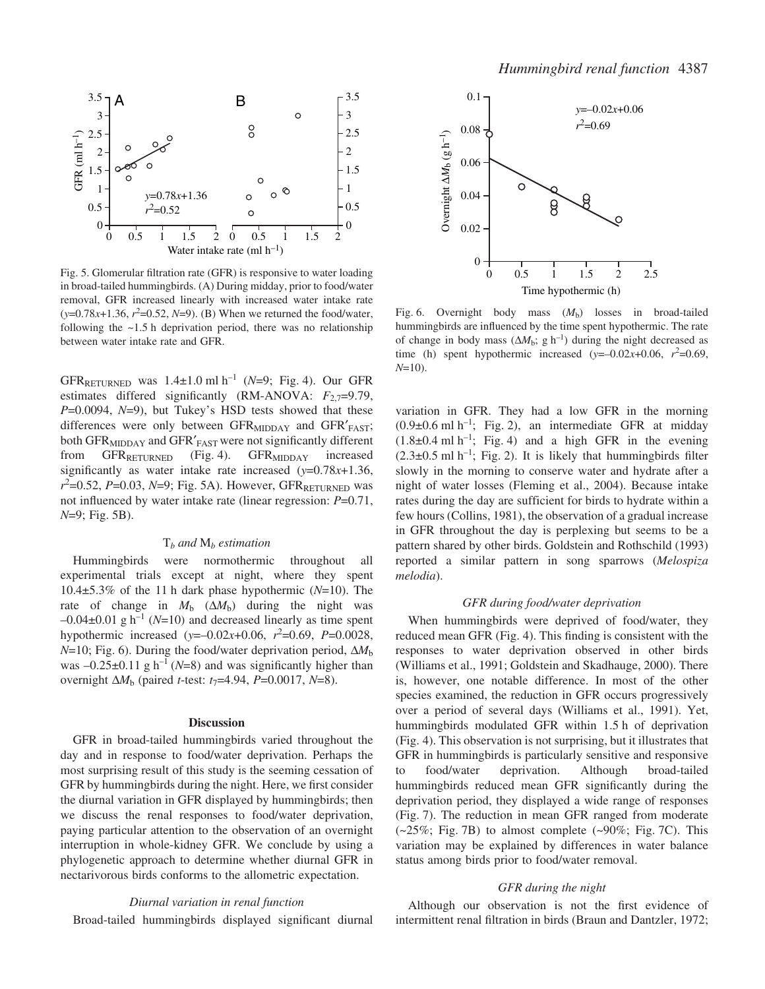

Fig. 5. Glomerular filtration rate (GFR) is responsive to water loading in broad-tailed hummingbirds. (A) During midday, prior to food/water removal, GFR increased linearly with increased water intake rate  $(y=0.78x+1.36, r^2=0.52, N=9)$ . (B) When we returned the food/water, following the  $~1.5$  h deprivation period, there was no relationship between water intake rate and GFR.

GFR<sub>RETURNED</sub> was  $1.4 \pm 1.0$  ml h<sup>-1</sup> (*N*=9; Fig. 4). Our GFR estimates differed significantly (RM-ANOVA:  $F_{2,7}=9.79$ , *P*=0.0094, *N*=9), but Tukey's HSD tests showed that these differences were only between  $GFR<sub>MIDDAY</sub>$  and  $GFR'<sub>FAST</sub>$ ; both GFR<sub>MIDDAY</sub> and GFR'<sub>FAST</sub> were not significantly different from  $GFR_{RETURNED}$  (Fig. 4).  $GFR_{MIDDAY}$  increased significantly as water intake rate increased (*y*=0.78*x*+1.36, *r*<sup>2</sup>=0.52, *P*=0.03, *N*=9; Fig. 5A). However, GFR<sub>RETURNED</sub> was not influenced by water intake rate (linear regression: *P*=0.71, *N*=9; Fig. 5B).

## T*<sup>b</sup> and* M*<sup>b</sup> estimation*

Hummingbirds were normothermic throughout all experimental trials except at night, where they spent 10.4 $\pm$ 5.3% of the 11<sup>h</sup> dark phase hypothermic ( $N=10$ ). The rate of change in  $M_b$  ( $\Delta M_b$ ) during the night was  $-0.04\pm0.01$  g h<sup>-1</sup> (*N*=10) and decreased linearly as time spent hypothermic increased  $(y=-0.02x+0.06, r^2=0.69, P=0.0028,$ *N*=10; Fig. 6). During the food/water deprivation period, Δ*M*<sub>b</sub> was  $-0.25\pm0.11$  g h<sup>-1</sup> (*N*=8) and was significantly higher than overnight ∆*M*<sup>b</sup> (paired *t*-test: *t*7=4.94, *P*=0.0017, *N*=8).

#### **Discussion**

GFR in broad-tailed hummingbirds varied throughout the day and in response to food/water deprivation. Perhaps the most surprising result of this study is the seeming cessation of GFR by hummingbirds during the night. Here, we first consider the diurnal variation in GFR displayed by hummingbirds; then we discuss the renal responses to food/water deprivation, paying particular attention to the observation of an overnight interruption in whole-kidney GFR. We conclude by using a phylogenetic approach to determine whether diurnal GFR in nectarivorous birds conforms to the allometric expectation.

#### *Diurnal variation in renal function*

Broad-tailed hummingbirds displayed significant diurnal



Fig. 6. Overnight body mass  $(M_b)$  losses in broad-tailed hummingbirds are influenced by the time spent hypothermic. The rate of change in body mass  $(\Delta M_b; g h^{-1})$  during the night decreased as time (h) spent hypothermic increased  $(y=-0.02x+0.06, r^2=0.69,$ *N*=10).

variation in GFR. They had a low GFR in the morning  $(0.9\pm0.6 \text{ ml h}^{-1})$ ; Fig. 2), an intermediate GFR at midday  $(1.8\pm0.4 \text{ ml h}^{-1})$ ; Fig. 4) and a high GFR in the evening  $(2.3\pm0.5 \text{ ml h}^{-1})$ ; Fig. 2). It is likely that hummingbirds filter slowly in the morning to conserve water and hydrate after a night of water losses (Fleming et al., 2004). Because intake rates during the day are sufficient for birds to hydrate within a few hours (Collins, 1981), the observation of a gradual increase in GFR throughout the day is perplexing but seems to be a pattern shared by other birds. Goldstein and Rothschild (1993) reported a similar pattern in song sparrows (*Melospiza melodia*).

## *GFR during food/water deprivation*

When hummingbirds were deprived of food/water, they reduced mean GFR (Fig. 4). This finding is consistent with the responses to water deprivation observed in other birds (Williams et al., 1991; Goldstein and Skadhauge, 2000). There is, however, one notable difference. In most of the other species examined, the reduction in GFR occurs progressively over a period of several days (Williams et al., 1991). Yet, hummingbirds modulated GFR within 1.5 h of deprivation (Fig. 4). This observation is not surprising, but it illustrates that GFR in hummingbirds is particularly sensitive and responsive to food/water deprivation. Although broad-tailed hummingbirds reduced mean GFR significantly during the deprivation period, they displayed a wide range of responses (Fig. 7). The reduction in mean GFR ranged from moderate  $(-25\%;$  Fig. 7B) to almost complete  $(-90\%;$  Fig. 7C). This variation may be explained by differences in water balance status among birds prior to food/water removal.

## *GFR during the night*

Although our observation is not the first evidence of intermittent renal filtration in birds (Braun and Dantzler, 1972;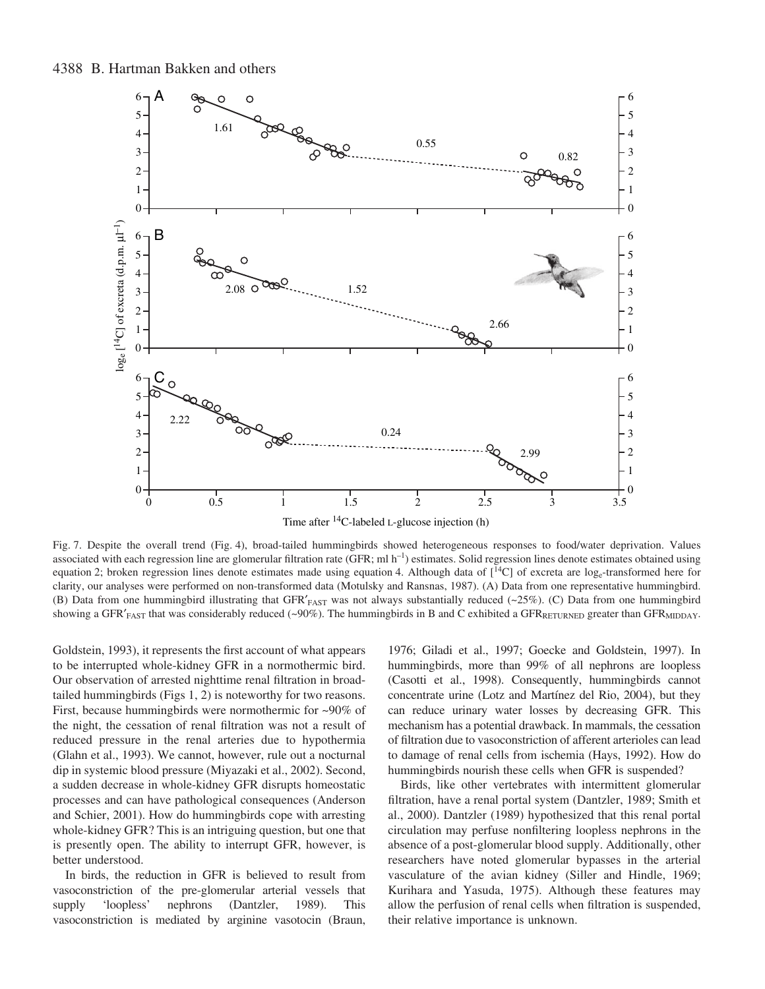# 4388 B. Hartman Bakken and others



Fig. 7. Despite the overall trend (Fig. 4), broad-tailed hummingbirds showed heterogeneous responses to food/water deprivation. Values associated with each regression line are glomerular filtration rate (GFR; ml  $h^{-1}$ ) estimates. Solid regression lines denote estimates obtained using equation 2; broken regression lines denote estimates made using equation 4. Although data of  $[^{14}C]$  of excreta are log<sub>e</sub>-transformed here for clarity, our analyses were performed on non-transformed data (Motulsky and Ransnas, 1987). (A) Data from one representative hummingbird. (B) Data from one hummingbird illustrating that GFR'<sub>FAST</sub> was not always substantially reduced (~25%). (C) Data from one hummingbird showing a GFR $'_{FAST}$  that was considerably reduced (~90%). The hummingbirds in B and C exhibited a GFR $_{RETURNED}$  greater than GFR $_{MIDDAY}$ .

Goldstein, 1993), it represents the first account of what appears to be interrupted whole-kidney GFR in a normothermic bird. Our observation of arrested nighttime renal filtration in broadtailed hummingbirds (Figs  $1, 2$ ) is noteworthy for two reasons. First, because hummingbirds were normothermic for ~90% of the night, the cessation of renal filtration was not a result of reduced pressure in the renal arteries due to hypothermia (Glahn et al., 1993). We cannot, however, rule out a nocturnal dip in systemic blood pressure (Miyazaki et al., 2002). Second, a sudden decrease in whole-kidney GFR disrupts homeostatic processes and can have pathological consequences (Anderson and Schier, 2001). How do hummingbirds cope with arresting whole-kidney GFR? This is an intriguing question, but one that is presently open. The ability to interrupt GFR, however, is better understood.

In birds, the reduction in GFR is believed to result from vasoconstriction of the pre-glomerular arterial vessels that supply 'loopless' nephrons (Dantzler, 1989). This vasoconstriction is mediated by arginine vasotocin (Braun,

1976; Giladi et al., 1997; Goecke and Goldstein, 1997). In hummingbirds, more than 99% of all nephrons are loopless (Casotti et al., 1998). Consequently, hummingbirds cannot concentrate urine (Lotz and Martínez del Rio, 2004), but they can reduce urinary water losses by decreasing GFR. This mechanism has a potential drawback. In mammals, the cessation of filtration due to vasoconstriction of afferent arterioles can lead to damage of renal cells from ischemia (Hays, 1992). How do hummingbirds nourish these cells when GFR is suspended?

Birds, like other vertebrates with intermittent glomerular filtration, have a renal portal system (Dantzler, 1989; Smith et al., 2000). Dantzler (1989) hypothesized that this renal portal circulation may perfuse nonfiltering loopless nephrons in the absence of a post-glomerular blood supply. Additionally, other researchers have noted glomerular bypasses in the arterial vasculature of the avian kidney (Siller and Hindle, 1969; Kurihara and Yasuda, 1975). Although these features may allow the perfusion of renal cells when filtration is suspended, their relative importance is unknown.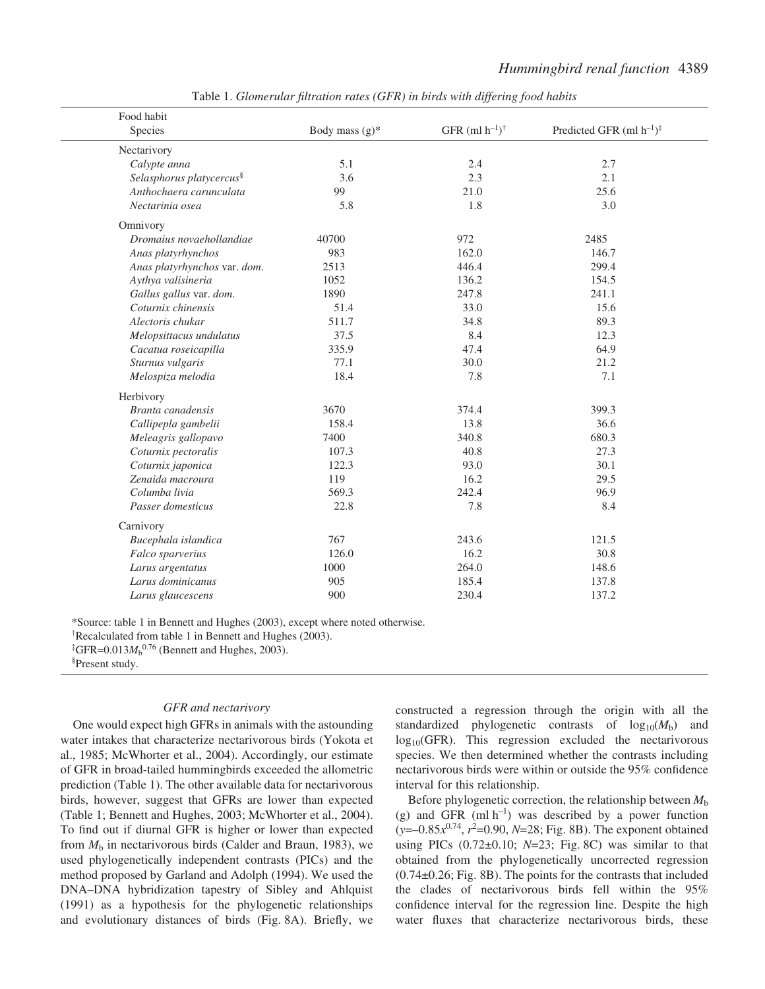| Food habit                           |                   |                             |                                           |
|--------------------------------------|-------------------|-----------------------------|-------------------------------------------|
| Species                              | Body mass $(g)^*$ | GFR $(ml h^{-1})^{\dagger}$ | Predicted GFR (ml $h^{-1}$ ) <sup>‡</sup> |
| Nectarivory                          |                   |                             |                                           |
| Calypte anna                         | 5.1               | 2.4                         | 2.7                                       |
| Selasphorus platycercus <sup>§</sup> | 3.6               | 2.3                         | 2.1                                       |
| Anthochaera carunculata              | 99                | 21.0                        | 25.6                                      |
| Nectarinia osea                      | 5.8               | 1.8                         | 3.0                                       |
| Omnivory                             |                   |                             |                                           |
| Dromaius novaehollandiae             | 40700             | 972                         | 2485                                      |
| Anas platyrhynchos                   | 983               | 162.0                       | 146.7                                     |
| Anas platyrhynchos var. dom.         | 2513              | 446.4                       | 299.4                                     |
| Aythya valisineria                   | 1052              | 136.2                       | 154.5                                     |
| Gallus gallus var. dom.              | 1890              | 247.8                       | 241.1                                     |
| Coturnix chinensis                   | 51.4              | 33.0                        | 15.6                                      |
| Alectoris chukar                     | 511.7             | 34.8                        | 89.3                                      |
| Melopsittacus undulatus              | 37.5              | 8.4                         | 12.3                                      |
| Cacatua roseicapilla                 | 335.9             | 47.4                        | 64.9                                      |
| Sturnus vulgaris                     | 77.1              | 30.0                        | 21.2                                      |
| Melospiza melodia                    | 18.4              | 7.8                         | 7.1                                       |
| Herbivory                            |                   |                             |                                           |
| Branta canadensis                    | 3670              | 374.4                       | 399.3                                     |
| Callipepla gambelii                  | 158.4             | 13.8                        | 36.6                                      |
| Meleagris gallopavo                  | 7400              | 340.8                       | 680.3                                     |
| Coturnix pectoralis                  | 107.3             | 40.8                        | 27.3                                      |
| Coturnix japonica                    | 122.3             | 93.0                        | 30.1                                      |
| Zenaida macroura                     | 119               | 16.2                        | 29.5                                      |
| Columba livia                        | 569.3             | 242.4                       | 96.9                                      |
| Passer domesticus                    | 22.8              | 7.8                         | 8.4                                       |
| Carnivory                            |                   |                             |                                           |
| Bucephala islandica                  | 767               | 243.6                       | 121.5                                     |
| Falco sparverius                     | 126.0             | 16.2                        | 30.8                                      |
| Larus argentatus                     | 1000              | 264.0                       | 148.6                                     |
| Larus dominicanus                    | 905               | 185.4                       | 137.8                                     |
| Larus glaucescens                    | 900               | 230.4                       | 137.2                                     |

Table 1. *Glomerular filtration rates (GFR) in birds with differing food habits*

\*Source: table·1 in Bennett and Hughes (2003), except where noted otherwise.

<sup>†</sup>Recalculated from table 1 in Bennett and Hughes (2003).

<sup>‡</sup>GFR=0.013 $M_b^{0.76}$  (Bennett and Hughes, 2003).

§ Present study.

#### *GFR and nectarivory*

One would expect high GFRs in animals with the astounding water intakes that characterize nectarivorous birds (Yokota et al., 1985; McWhorter et al., 2004). Accordingly, our estimate of GFR in broad-tailed hummingbirds exceeded the allometric prediction (Table 1). The other available data for nectarivorous birds, however, suggest that GFRs are lower than expected (Table 1; Bennett and Hughes, 2003; McWhorter et al., 2004). To find out if diurnal GFR is higher or lower than expected from  $M<sub>b</sub>$  in nectarivorous birds (Calder and Braun, 1983), we used phylogenetically independent contrasts (PICs) and the method proposed by Garland and Adolph (1994). We used the DNA–DNA hybridization tapestry of Sibley and Ahlquist (1991) as a hypothesis for the phylogenetic relationships and evolutionary distances of birds (Fig. 8A). Briefly, we

constructed a regression through the origin with all the standardized phylogenetic contrasts of  $log_{10}(M_b)$  and  $log_{10}(GFR)$ . This regression excluded the nectarivorous species. We then determined whether the contrasts including nectarivorous birds were within or outside the 95% confidence interval for this relationship.

Before phylogenetic correction, the relationship between *M*<sup>b</sup> (g) and GFR (ml  $h^{-1}$ ) was described by a power function (*y*=-0.85 $x^{0.74}$ ,  $r^2$ =0.90, *N*=28; Fig. 8B). The exponent obtained using PICs  $(0.72 \pm 0.10; N=23; Fig. 8C)$  was similar to that obtained from the phylogenetically uncorrected regression  $(0.74\pm0.26;$  Fig. 8B). The points for the contrasts that included the clades of nectarivorous birds fell within the 95% confidence interval for the regression line. Despite the high water fluxes that characterize nectarivorous birds, these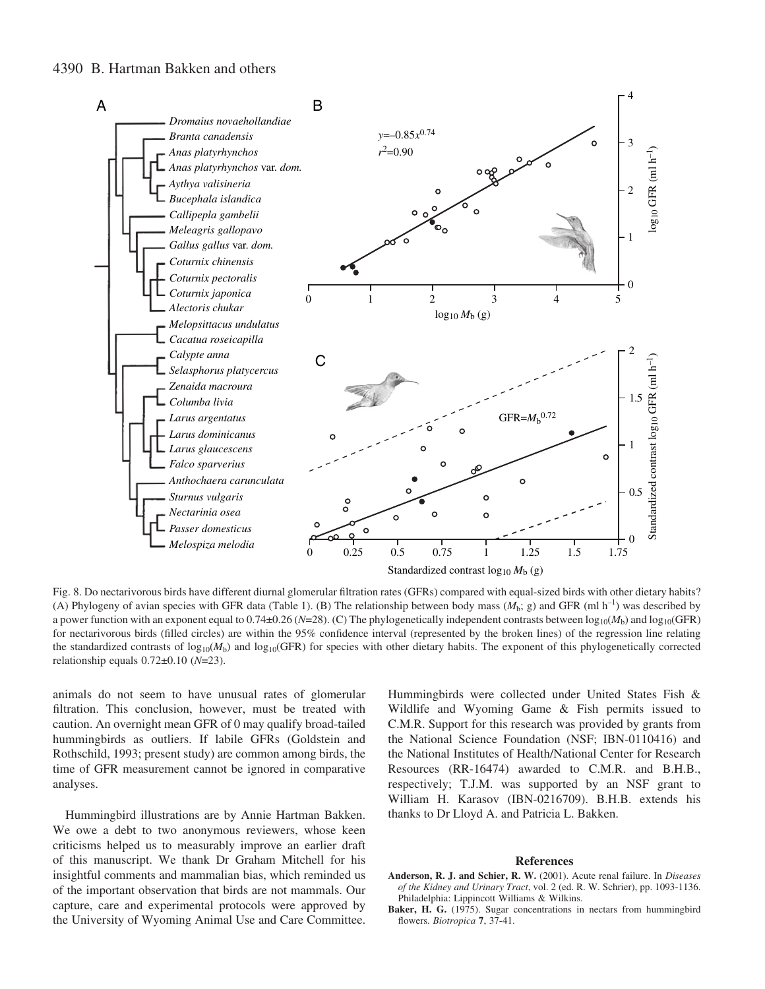# 4390 B. Hartman Bakken and others



Fig. 8. Do nectarivorous birds have different diurnal glomerular filtration rates (GFRs) compared with equal-sized birds with other dietary habits? (A) Phylogeny of avian species with GFR data (Table 1). (B) The relationship between body mass  $(M_h; g)$  and GFR (ml h<sup>-1</sup>) was described by a power function with an exponent equal to 0.74 $\pm$ 0.26 (*N*=28). (C) The phylogenetically independent contrasts between  $\log_{10}(M_b)$  and  $\log_{10}(GFR)$ for nectarivorous birds (filled circles) are within the 95% confidence interval (represented by the broken lines) of the regression line relating the standardized contrasts of  $log_{10}(M_b)$  and  $log_{10}(GFR)$  for species with other dietary habits. The exponent of this phylogenetically corrected relationship equals 0.72±0.10 (*N*=23).

animals do not seem to have unusual rates of glomerular filtration. This conclusion, however, must be treated with caution. An overnight mean GFR of 0 may qualify broad-tailed hummingbirds as outliers. If labile GFRs (Goldstein and Rothschild, 1993; present study) are common among birds, the time of GFR measurement cannot be ignored in comparative analyses.

Hummingbird illustrations are by Annie Hartman Bakken. We owe a debt to two anonymous reviewers, whose keen criticisms helped us to measurably improve an earlier draft of this manuscript. We thank Dr Graham Mitchell for his insightful comments and mammalian bias, which reminded us of the important observation that birds are not mammals. Our capture, care and experimental protocols were approved by the University of Wyoming Animal Use and Care Committee.

Hummingbirds were collected under United States Fish & Wildlife and Wyoming Game & Fish permits issued to C.M.R. Support for this research was provided by grants from the National Science Foundation (NSF; IBN-0110416) and the National Institutes of Health/National Center for Research Resources (RR-16474) awarded to C.M.R. and B.H.B., respectively; T.J.M. was supported by an NSF grant to William H. Karasov (IBN-0216709). B.H.B. extends his thanks to Dr Lloyd A. and Patricia L. Bakken.

#### **References**

- **Anderson, R. J. and Schier, R. W.** (2001). Acute renal failure. In *Diseases of the Kidney and Urinary Tract*, vol. 2 (ed. R. W. Schrier), pp. 1093-1136. Philadelphia: Lippincott Williams & Wilkins.
- Baker, H. G. (1975). Sugar concentrations in nectars from hummingbird flowers. *Biotropica* **7**, 37-41.